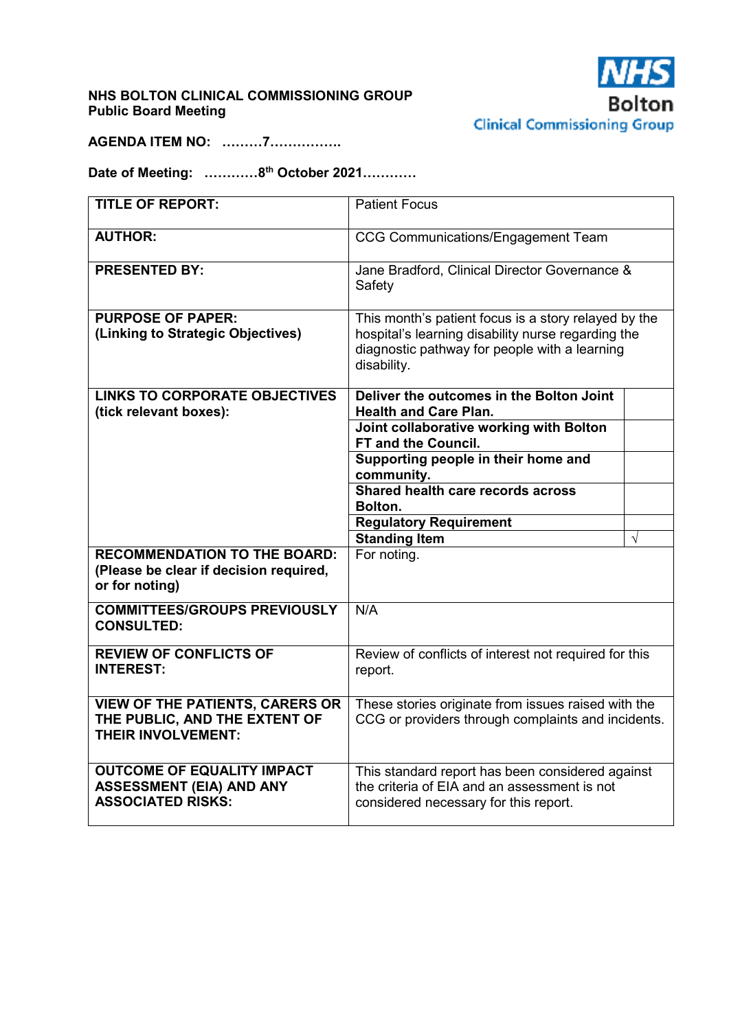## **NHS BOLTON CLINICAL COMMISSIONING GROUP Public Board Meeting**



**AGENDA ITEM NO: ………7…………….** 

**Date of Meeting: …………8th October 2021…………** 

| <b>TITLE OF REPORT:</b>                                                                              | <b>Patient Focus</b>                                                                                                                                                       |           |
|------------------------------------------------------------------------------------------------------|----------------------------------------------------------------------------------------------------------------------------------------------------------------------------|-----------|
| <b>AUTHOR:</b>                                                                                       | <b>CCG Communications/Engagement Team</b>                                                                                                                                  |           |
| <b>PRESENTED BY:</b>                                                                                 | Jane Bradford, Clinical Director Governance &<br>Safety                                                                                                                    |           |
| <b>PURPOSE OF PAPER:</b><br>(Linking to Strategic Objectives)                                        | This month's patient focus is a story relayed by the<br>hospital's learning disability nurse regarding the<br>diagnostic pathway for people with a learning<br>disability. |           |
| <b>LINKS TO CORPORATE OBJECTIVES</b>                                                                 | Deliver the outcomes in the Bolton Joint<br><b>Health and Care Plan.</b>                                                                                                   |           |
| (tick relevant boxes):                                                                               | Joint collaborative working with Bolton<br>FT and the Council.                                                                                                             |           |
|                                                                                                      | Supporting people in their home and<br>community.                                                                                                                          |           |
|                                                                                                      | Shared health care records across<br>Bolton.                                                                                                                               |           |
|                                                                                                      | <b>Regulatory Requirement</b>                                                                                                                                              |           |
|                                                                                                      | <b>Standing Item</b>                                                                                                                                                       | $\sqrt{}$ |
| <b>RECOMMENDATION TO THE BOARD:</b><br>(Please be clear if decision required,<br>or for noting)      | For noting.                                                                                                                                                                |           |
| <b>COMMITTEES/GROUPS PREVIOUSLY</b><br><b>CONSULTED:</b>                                             | N/A                                                                                                                                                                        |           |
| <b>REVIEW OF CONFLICTS OF</b><br><b>INTEREST:</b>                                                    | Review of conflicts of interest not required for this<br>report.                                                                                                           |           |
| <b>VIEW OF THE PATIENTS, CARERS OR</b><br>THE PUBLIC, AND THE EXTENT OF<br><b>THEIR INVOLVEMENT:</b> | These stories originate from issues raised with the<br>CCG or providers through complaints and incidents.                                                                  |           |
| <b>OUTCOME OF EQUALITY IMPACT</b><br><b>ASSESSMENT (EIA) AND ANY</b><br><b>ASSOCIATED RISKS:</b>     | This standard report has been considered against<br>the criteria of EIA and an assessment is not<br>considered necessary for this report.                                  |           |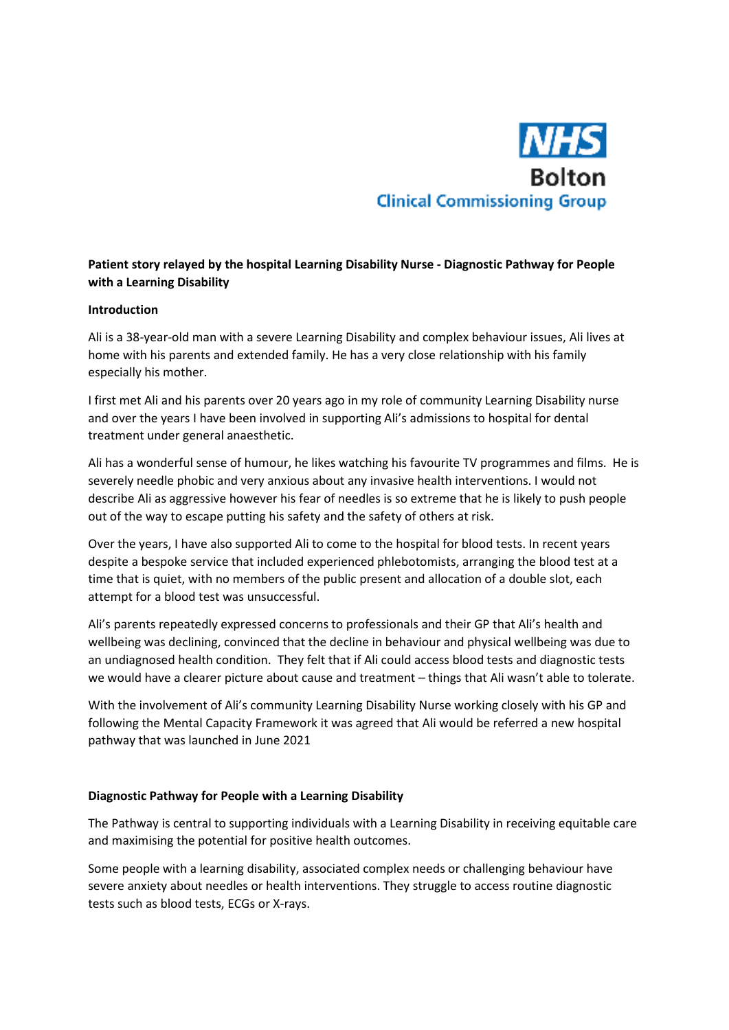

# **Patient story relayed by the hospital Learning Disability Nurse - Diagnostic Pathway for People with a Learning Disability**

### **Introduction**

Ali is a 38-year-old man with a severe Learning Disability and complex behaviour issues, Ali lives at home with his parents and extended family. He has a very close relationship with his family especially his mother.

I first met Ali and his parents over 20 years ago in my role of community Learning Disability nurse and over the years I have been involved in supporting Ali's admissions to hospital for dental treatment under general anaesthetic.

Ali has a wonderful sense of humour, he likes watching his favourite TV programmes and films. He is severely needle phobic and very anxious about any invasive health interventions. I would not describe Ali as aggressive however his fear of needles is so extreme that he is likely to push people out of the way to escape putting his safety and the safety of others at risk.

Over the years, I have also supported Ali to come to the hospital for blood tests. In recent years despite a bespoke service that included experienced phlebotomists, arranging the blood test at a time that is quiet, with no members of the public present and allocation of a double slot, each attempt for a blood test was unsuccessful.

Ali's parents repeatedly expressed concerns to professionals and their GP that Ali's health and wellbeing was declining, convinced that the decline in behaviour and physical wellbeing was due to an undiagnosed health condition. They felt that if Ali could access blood tests and diagnostic tests we would have a clearer picture about cause and treatment – things that Ali wasn't able to tolerate.

With the involvement of Ali's community Learning Disability Nurse working closely with his GP and following the Mental Capacity Framework it was agreed that Ali would be referred a new hospital pathway that was launched in June 2021

#### **Diagnostic Pathway for People with a Learning Disability**

The Pathway is central to supporting individuals with a Learning Disability in receiving equitable care and maximising the potential for positive health outcomes.

Some people with a learning disability, associated complex needs or challenging behaviour have severe anxiety about needles or health interventions. They struggle to access routine diagnostic tests such as blood tests, ECGs or X-rays.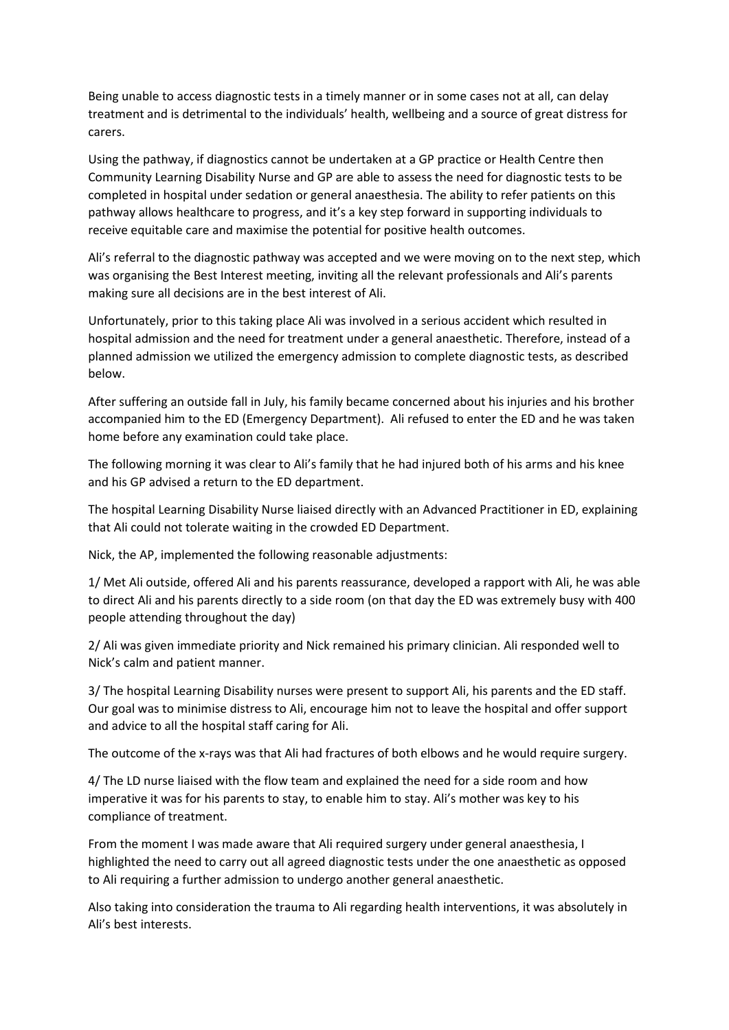Being unable to access diagnostic tests in a timely manner or in some cases not at all, can delay treatment and is detrimental to the individuals' health, wellbeing and a source of great distress for carers.

Using the pathway, if diagnostics cannot be undertaken at a GP practice or Health Centre then Community Learning Disability Nurse and GP are able to assess the need for diagnostic tests to be completed in hospital under sedation or general anaesthesia. The ability to refer patients on this pathway allows healthcare to progress, and it's a key step forward in supporting individuals to receive equitable care and maximise the potential for positive health outcomes.

Ali's referral to the diagnostic pathway was accepted and we were moving on to the next step, which was organising the Best Interest meeting, inviting all the relevant professionals and Ali's parents making sure all decisions are in the best interest of Ali.

Unfortunately, prior to this taking place Ali was involved in a serious accident which resulted in hospital admission and the need for treatment under a general anaesthetic. Therefore, instead of a planned admission we utilized the emergency admission to complete diagnostic tests, as described below.

After suffering an outside fall in July, his family became concerned about his injuries and his brother accompanied him to the ED (Emergency Department). Ali refused to enter the ED and he was taken home before any examination could take place.

The following morning it was clear to Ali's family that he had injured both of his arms and his knee and his GP advised a return to the ED department.

The hospital Learning Disability Nurse liaised directly with an Advanced Practitioner in ED, explaining that Ali could not tolerate waiting in the crowded ED Department.

Nick, the AP, implemented the following reasonable adjustments:

1/ Met Ali outside, offered Ali and his parents reassurance, developed a rapport with Ali, he was able to direct Ali and his parents directly to a side room (on that day the ED was extremely busy with 400 people attending throughout the day)

2/ Ali was given immediate priority and Nick remained his primary clinician. Ali responded well to Nick's calm and patient manner.

3/ The hospital Learning Disability nurses were present to support Ali, his parents and the ED staff. Our goal was to minimise distress to Ali, encourage him not to leave the hospital and offer support and advice to all the hospital staff caring for Ali.

The outcome of the x-rays was that Ali had fractures of both elbows and he would require surgery.

4/ The LD nurse liaised with the flow team and explained the need for a side room and how imperative it was for his parents to stay, to enable him to stay. Ali's mother was key to his compliance of treatment.

From the moment I was made aware that Ali required surgery under general anaesthesia, I highlighted the need to carry out all agreed diagnostic tests under the one anaesthetic as opposed to Ali requiring a further admission to undergo another general anaesthetic.

Also taking into consideration the trauma to Ali regarding health interventions, it was absolutely in Ali's best interests.